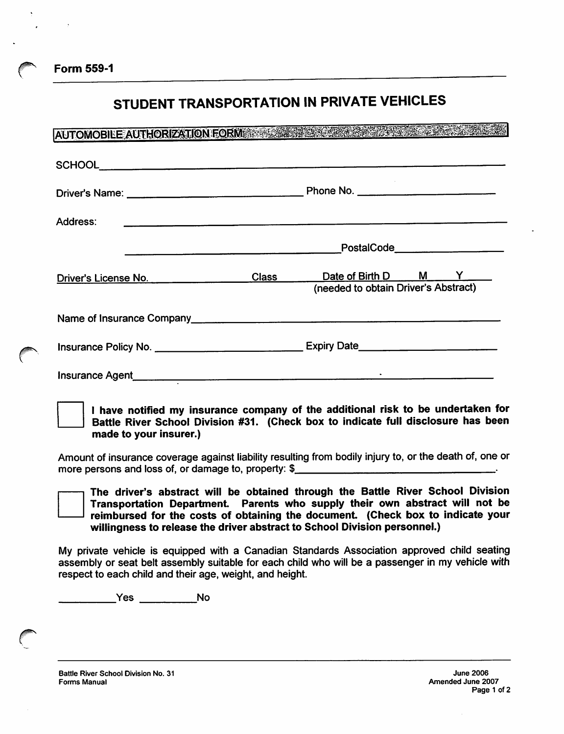*Form 559-1*

# *STUDENT TRANSPORTATION IN PRIVATE VEHICLES*

| Address:<br><u> 1989 - Jan Barnett, fransk politiker (d. 1989)</u>                                                                                                                                                                 |                                                                                   |                                                             |  |  |  |
|------------------------------------------------------------------------------------------------------------------------------------------------------------------------------------------------------------------------------------|-----------------------------------------------------------------------------------|-------------------------------------------------------------|--|--|--|
|                                                                                                                                                                                                                                    | PostalCode_____________________                                                   |                                                             |  |  |  |
| Driver's License No.                                                                                                                                                                                                               | Class _____                                                                       | Date of Birth D M Y<br>(needed to obtain Driver's Abstract) |  |  |  |
| Name of Insurance Company Manual Company Communication of Insurance Company                                                                                                                                                        |                                                                                   |                                                             |  |  |  |
|                                                                                                                                                                                                                                    | Insurance Policy No. _________________________________Expiry Date________________ |                                                             |  |  |  |
| Insurance Agent <b>Example 2018 Constant Construction Construction Construction Construction Construction Construction Construction Construction Construction Construction Construction Construction Construction Construction</b> |                                                                                   |                                                             |  |  |  |

*I have notified my insurance company of the additional risk to be undertaken for Battle River School Division #31. (Check box to indicate full disclosure has been made to your insurer.)*

Amount of insurance coverage against liability resulting from bodily injuryto, or the death of, one or more persons and loss of, or damage to, property: \$



My private vehicle is equipped with a Canadian Standards Association approved child seating assembly or seat belt assembly suitable for each child who will be a passenger in my vehicle with respect to each child and their age, weight, and height.

Yes \_\_\_\_\_\_\_\_\_No

*Battle River School Division No. 31 Forms Manual*

*r*

**PROGRESS CONSTRUCTION**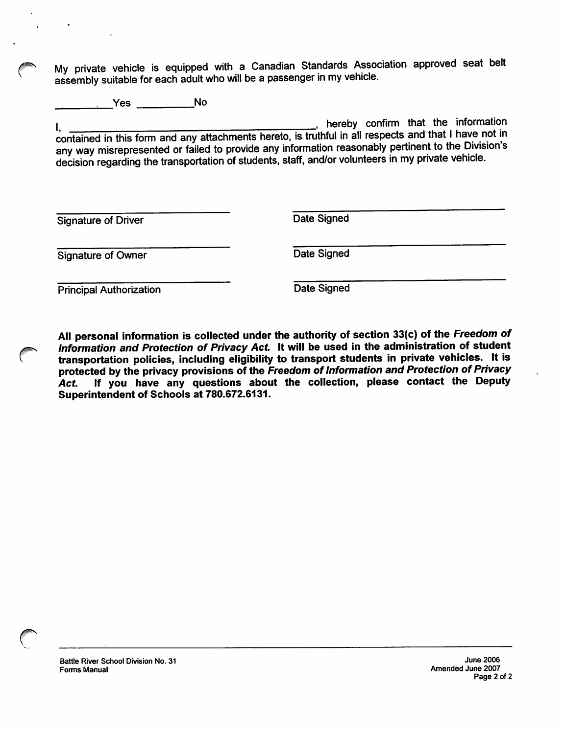My private vehicle is equipped with a Canadian Standards Association approved seat belt assembly suitable for each adult who will be a passenger in my vehicle.

\_\_\_\_\_\_\_\_\_\_\_\_\_\_\_\_\_\_\_\_\_\_\_\_\_\_\_\_\_\_\_\_\_\_\_No

I, thereby confirm that the information is the information of the information of the information of the information contained in this form and any attachments hereto, is truthful in all respects and that Ihave not in any way misrepresented or failed to provide any information reasonably pertinent to the Division's decision regarding the transportation of students, staff, and/or volunteers in my private vehicle.

Signature of Driver Date Signed

Signature of Owner Date Signed

**Principal Authorization** Date Signed

*All personal information is collected underthe authority of section 33(c) of the Freedom of Information and Protection of Privacy Act. It will be used in the administration of student transportation policies, including eligibility to transport students in private vehicles. It is protected by the privacy provisions of the Freedom ofInformation and Protection of Privacy Act. If you have any questions about the collection, please contact the Deputy Superintendent of Schools at 780.672.6131.*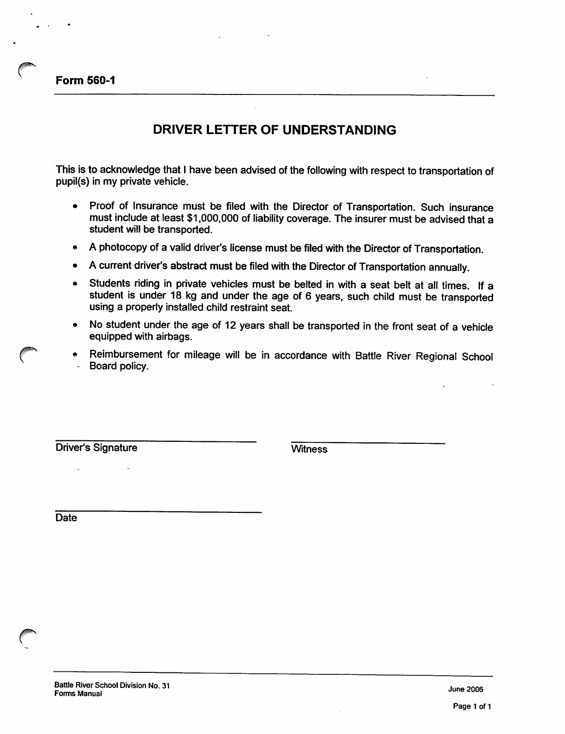*Form 560-1*

## *DRIVER LETTER OF UNDERSTANDING*

This is to acknowledge that I have been advised of the following with respect to transportation of pupil(s) in my private vehicle.

- Proof of Insurance must be filed with the Director of Transportation. Such insurance must include at least \$1,000,000 of liability coverage. The insurer must be advised that a student will be transported.
- A photocopy of a valid driver's license must be filed with the Director of Transportation.
- A current driver's abstract must be filed with the Director of Transportation annually.
- Students riding in private vehicles must be belted in with a seat belt at all times. If a student is under 18 kg and under the age of 6 years, such child must be transported using a properly installed child restraint seat.
- No student under the age of 12 years shall be transported in the front seat of a vehicle equipped with airbags.
- Reimbursement for mileage will be in accordance with Battle River Regional School Board policy.

Driver's Signature Witness

**Date**